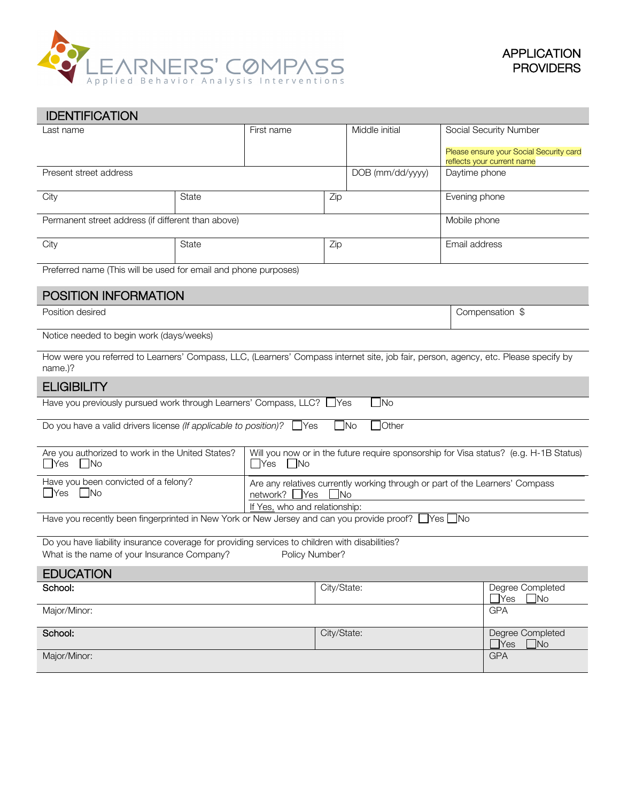

| <b>IDENTIFICATION</b>                                                                                                                                           |       |                                                                                                                                |                  |                 |                        |                                                                       |  |  |  |
|-----------------------------------------------------------------------------------------------------------------------------------------------------------------|-------|--------------------------------------------------------------------------------------------------------------------------------|------------------|-----------------|------------------------|-----------------------------------------------------------------------|--|--|--|
| Last name                                                                                                                                                       |       | First name                                                                                                                     |                  | Middle initial  | Social Security Number |                                                                       |  |  |  |
|                                                                                                                                                                 |       |                                                                                                                                |                  |                 |                        | Please ensure your Social Security card<br>reflects your current name |  |  |  |
| Present street address                                                                                                                                          |       |                                                                                                                                | DOB (mm/dd/yyyy) | Daytime phone   |                        |                                                                       |  |  |  |
| City                                                                                                                                                            | State |                                                                                                                                | Zip              |                 | Evening phone          |                                                                       |  |  |  |
| Permanent street address (if different than above)                                                                                                              |       |                                                                                                                                |                  | Mobile phone    |                        |                                                                       |  |  |  |
| City                                                                                                                                                            | State |                                                                                                                                | Zip              |                 | Email address          |                                                                       |  |  |  |
| Preferred name (This will be used for email and phone purposes)                                                                                                 |       |                                                                                                                                |                  |                 |                        |                                                                       |  |  |  |
| POSITION INFORMATION                                                                                                                                            |       |                                                                                                                                |                  |                 |                        |                                                                       |  |  |  |
| Position desired                                                                                                                                                |       |                                                                                                                                |                  | Compensation \$ |                        |                                                                       |  |  |  |
| Notice needed to begin work (days/weeks)                                                                                                                        |       |                                                                                                                                |                  |                 |                        |                                                                       |  |  |  |
| How were you referred to Learners' Compass, LLC, (Learners' Compass internet site, job fair, person, agency, etc. Please specify by<br>name.)?                  |       |                                                                                                                                |                  |                 |                        |                                                                       |  |  |  |
| <b>ELIGIBILITY</b>                                                                                                                                              |       |                                                                                                                                |                  |                 |                        |                                                                       |  |  |  |
| Have you previously pursued work through Learners' Compass, LLC? Ves<br>$\exists$ No                                                                            |       |                                                                                                                                |                  |                 |                        |                                                                       |  |  |  |
| $\Box$ No<br><b>Other</b><br>Do you have a valid drivers license (If applicable to position)? $\Box$ Yes                                                        |       |                                                                                                                                |                  |                 |                        |                                                                       |  |  |  |
| Are you authorized to work in the United States?<br>$\Box$ Yes<br>$\Box$ No                                                                                     |       | Will you now or in the future require sponsorship for Visa status? (e.g. H-1B Status)<br>$\Box$ Yes<br>$\Box$ No               |                  |                 |                        |                                                                       |  |  |  |
| Have you been convicted of a felony?<br>$\Box$ Yes<br>l IN <sub>o</sub>                                                                                         |       | Are any relatives currently working through or part of the Learners' Compass<br>network?<br>$\mathsf{\perp}$ Yes<br><b>INo</b> |                  |                 |                        |                                                                       |  |  |  |
|                                                                                                                                                                 |       | If Yes, who and relationship:                                                                                                  |                  |                 |                        |                                                                       |  |  |  |
| Have you recently been fingerprinted in New York or New Jersey and can you provide proof? $\Box$ Yes $\Box$ No                                                  |       |                                                                                                                                |                  |                 |                        |                                                                       |  |  |  |
| Do you have liability insurance coverage for providing services to children with disabilities?<br>What is the name of your Insurance Company?<br>Policy Number? |       |                                                                                                                                |                  |                 |                        |                                                                       |  |  |  |
| <b>EDUCATION</b>                                                                                                                                                |       |                                                                                                                                |                  |                 |                        |                                                                       |  |  |  |
| School:                                                                                                                                                         |       | City/State:                                                                                                                    |                  |                 |                        | Degree Completed<br>$\Box$ Yes<br>$\Box$ No                           |  |  |  |
| Major/Minor:                                                                                                                                                    |       |                                                                                                                                |                  |                 | <b>GPA</b>             |                                                                       |  |  |  |
| School:                                                                                                                                                         |       | City/State:                                                                                                                    |                  |                 |                        | Degree Completed<br>$\exists$ Yes<br>$\Box$ No                        |  |  |  |
| Major/Minor:                                                                                                                                                    |       |                                                                                                                                |                  |                 | <b>GPA</b>             |                                                                       |  |  |  |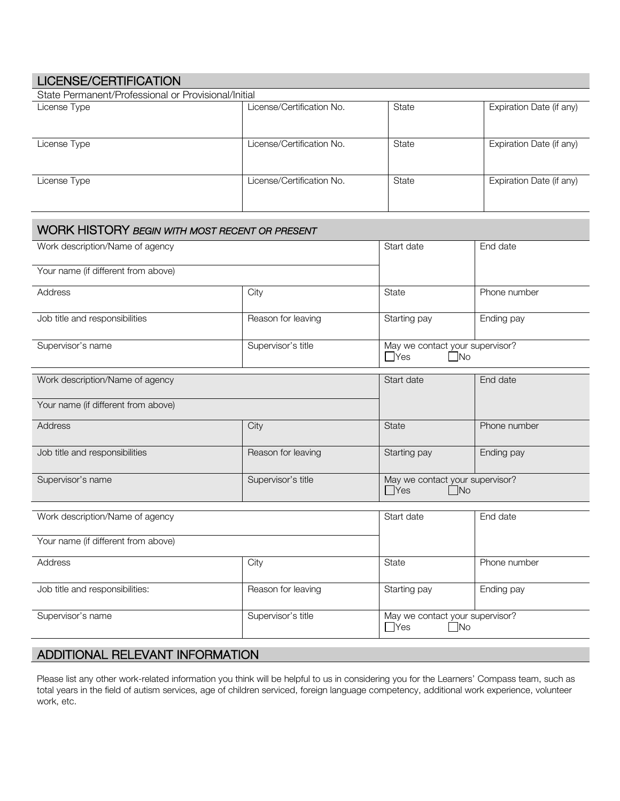| <b>LICENSE/CERTIFICATION</b>                          |                           |                                               |                          |  |  |
|-------------------------------------------------------|---------------------------|-----------------------------------------------|--------------------------|--|--|
| State Permanent/Professional or Provisional/Initial   |                           |                                               |                          |  |  |
| License Type                                          | License/Certification No. | State                                         | Expiration Date (if any) |  |  |
| License Type                                          | License/Certification No. | State                                         | Expiration Date (if any) |  |  |
| License Type                                          | License/Certification No. | State                                         | Expiration Date (if any) |  |  |
| <b>WORK HISTORY BEGIN WITH MOST RECENT OR PRESENT</b> |                           |                                               |                          |  |  |
| Work description/Name of agency                       |                           | Start date                                    | End date                 |  |  |
| Your name (if different from above)                   |                           |                                               |                          |  |  |
| Address                                               | City                      | State                                         | Phone number             |  |  |
| Job title and responsibilities                        | Reason for leaving        | Starting pay                                  | Ending pay               |  |  |
| Supervisor's name                                     | Supervisor's title        | May we contact your supervisor?<br>$\Box$ Yes | $\Box$ No                |  |  |
| Work description/Name of agency                       |                           | Start date                                    | End date                 |  |  |
| Your name (if different from above)                   |                           |                                               |                          |  |  |
| Address                                               | City                      | State                                         | Phone number             |  |  |
| Job title and responsibilities                        | Reason for leaving        | Starting pay                                  | Ending pay               |  |  |
| Supervisor's name                                     | Supervisor's title        | May we contact your supervisor?<br>$\Box$ Yes | $\Box$ No                |  |  |
| Work description/Name of agency                       |                           | Start date                                    | End date                 |  |  |
| Your name (if different from above)                   |                           |                                               |                          |  |  |
| Address                                               | City                      | State                                         | Phone number             |  |  |
| Job title and responsibilities:                       | Reason for leaving        | Starting pay                                  | Ending pay               |  |  |
| Supervisor's name                                     | Supervisor's title        | May we contact your supervisor?<br>No<br>No   |                          |  |  |

## ADDITIONAL RELEVANT INFORMATION

Please list any other work-related information you think will be helpful to us in considering you for the Learners' Compass team, such as total years in the field of autism services, age of children serviced, foreign language competency, additional work experience, volunteer work, etc.